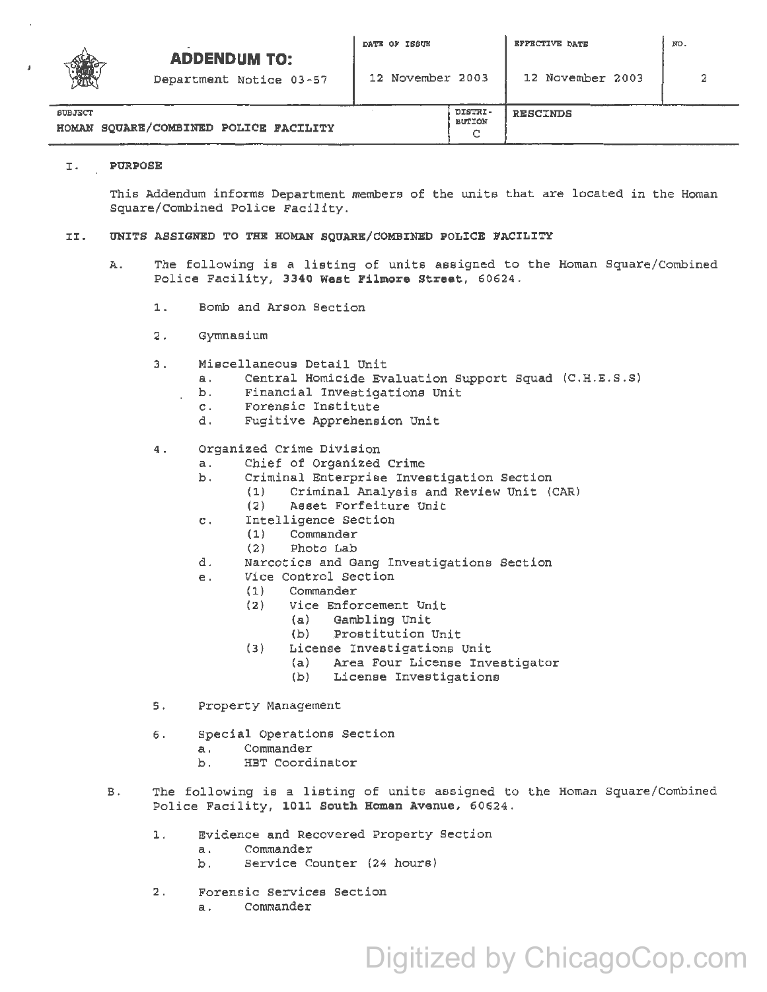|                | <b>ADDENDUM TO:</b><br>Department Notice 03-57 | DATE OF ISSUE<br>12 November 2003 | <b>EFFECTIVE DATE</b><br>12 November 2003 | NO. |
|----------------|------------------------------------------------|-----------------------------------|-------------------------------------------|-----|
| <b>SUBJECT</b> | HOMAN SQUARE/COMBINED POLICE FACILITY          | DISTRI-<br>BUTION<br>◠            | <b>RESCINDS</b>                           |     |

## I. PURPOSE

This Addendum informs Department members of the units that are located in the Homan Square/Combined Police Facility.

c

## II. UNITS ASSIGNED TO THE HOMAN SQUARE/COMBINED POLICE FACILITY

- A. The following is a listing of units assigned to the Homan Square/Combined Police Facility, 3340 West Filmore Street, 60624.
	- l. Bomb and Arson Section
	- 2. Gymnasium
	- 3. Miscellaneous Detail Unit<br>a. Central Homicide Ev
		- a. Central Homicide Evaluation Support Squad (C.H .E.S.S)
		- b. Financial Investigations Unit
		- c. Forensic Institute<br>d. Fugitive Apprehens
		- Fugitive Apprehension Unit
	- 4. Organized Crime Division
		- a. Chief of Organized Crime
		- b. Criminal Enterprise Investigation Section<br>(1) Criminal Analysis and Review Unit (
			- Criminal Analysis and Review Unit (CAR)
				- (2) Asset Forfeiture Unit
		- c. Intelligence Section<br>(1) Commander
			- **Commander**
			- (2) Photo Lab
		- d. Narcotics and Gang Investigations Section
		- e. Vice Control Section<br>(1) Commander
			- Commander
				- (2) Vice Enforcement Unit
					- Gambling Unit
					- (b) Prostitution Unit
				- (3) License Investigations Unit
					- (a) Area Four License Investigator
						- License Investigations
	- s. Property Management
	- 6. Special Operations Section
		- a . Commander
		- b. HBT Coordinator
- B. The following is a listing of units assigned to the Homan Square/Combined Police Facility, 1011 South Homan Avenue, 60624.

Digitized by ChicagoCop.com

- l. Evidence and Recovered Property Section
	- a. Commander
	- b. Service Counter (24 hours)
- 2. Forensic Services Section
	- a. Commander